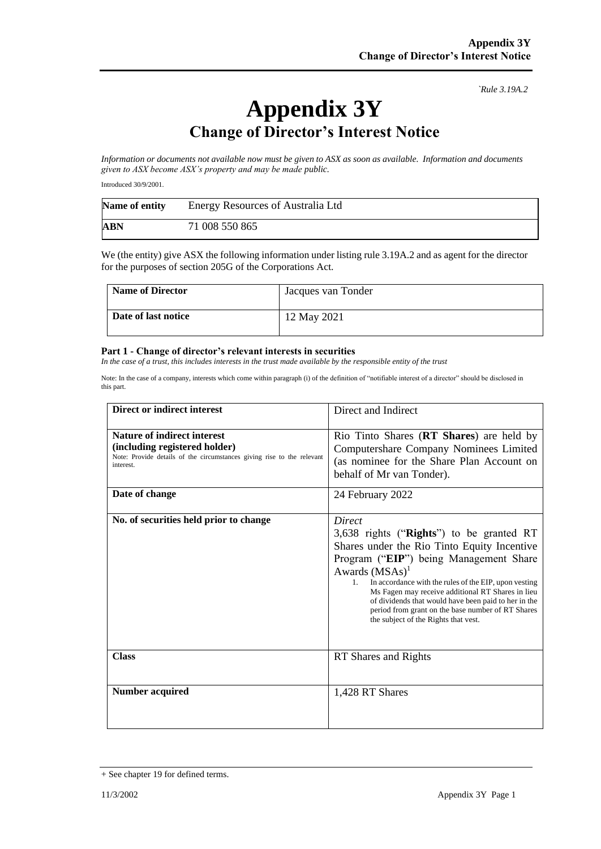*`Rule 3.19A.2*

## **Appendix 3Y Change of Director's Interest Notice**

*Information or documents not available now must be given to ASX as soon as available. Information and documents given to ASX become ASX's property and may be made public.*

Introduced 30/9/2001.

| Name of entity | <b>Energy Resources of Australia Ltd</b> |
|----------------|------------------------------------------|
| <b>ABN</b>     | 71 008 550 865                           |

We (the entity) give ASX the following information under listing rule 3.19A.2 and as agent for the director for the purposes of section 205G of the Corporations Act.

| <b>Name of Director</b> | Jacques van Tonder |
|-------------------------|--------------------|
| Date of last notice     | 12 May 2021        |

## **Part 1 - Change of director's relevant interests in securities**

*In the case of a trust, this includes interests in the trust made available by the responsible entity of the trust*

Note: In the case of a company, interests which come within paragraph (i) of the definition of "notifiable interest of a director" should be disclosed in this part.

| <b>Direct or indirect interest</b>                                                                                                                         | Direct and Indirect                                                                                                                                                                                                                                                                                                                                                                                                                            |
|------------------------------------------------------------------------------------------------------------------------------------------------------------|------------------------------------------------------------------------------------------------------------------------------------------------------------------------------------------------------------------------------------------------------------------------------------------------------------------------------------------------------------------------------------------------------------------------------------------------|
| <b>Nature of indirect interest</b><br>(including registered holder)<br>Note: Provide details of the circumstances giving rise to the relevant<br>interest. | Rio Tinto Shares (RT Shares) are held by<br>Computershare Company Nominees Limited<br>(as nominee for the Share Plan Account on<br>behalf of Mr van Tonder).                                                                                                                                                                                                                                                                                   |
| Date of change                                                                                                                                             | 24 February 2022                                                                                                                                                                                                                                                                                                                                                                                                                               |
| No. of securities held prior to change                                                                                                                     | Direct<br>3,638 rights ("Rights") to be granted RT<br>Shares under the Rio Tinto Equity Incentive<br>Program ("EIP") being Management Share<br>Awards $(MSAs)^1$<br>In accordance with the rules of the EIP, upon vesting<br>$1_{-}$<br>Ms Fagen may receive additional RT Shares in lieu<br>of dividends that would have been paid to her in the<br>period from grant on the base number of RT Shares<br>the subject of the Rights that vest. |
| <b>Class</b>                                                                                                                                               | RT Shares and Rights                                                                                                                                                                                                                                                                                                                                                                                                                           |
| <b>Number acquired</b>                                                                                                                                     | 1,428 RT Shares                                                                                                                                                                                                                                                                                                                                                                                                                                |

<sup>+</sup> See chapter 19 for defined terms.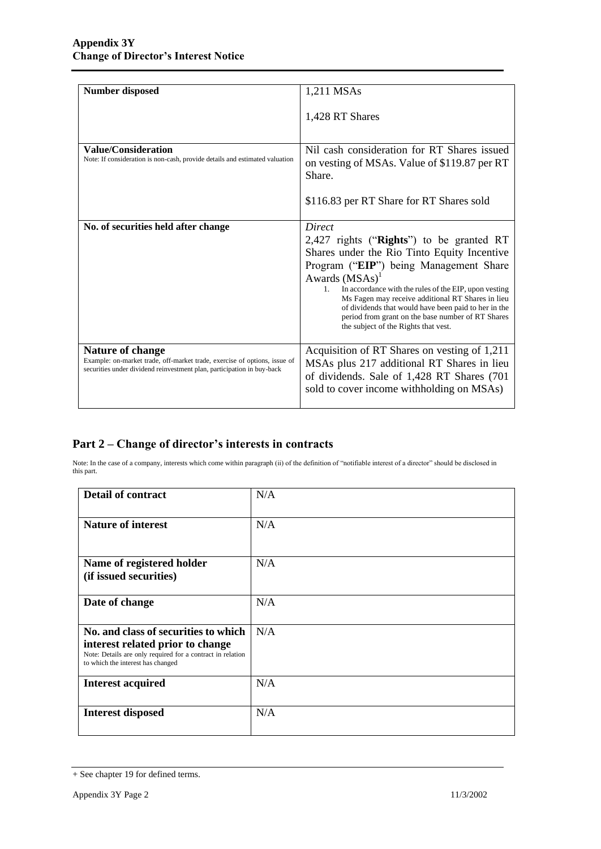| <b>Number disposed</b>                                                                                                                                                         | 1,211 MSAs                                                                                                                                                                                                                                                                                                                                                                                                                                     |
|--------------------------------------------------------------------------------------------------------------------------------------------------------------------------------|------------------------------------------------------------------------------------------------------------------------------------------------------------------------------------------------------------------------------------------------------------------------------------------------------------------------------------------------------------------------------------------------------------------------------------------------|
|                                                                                                                                                                                | 1,428 RT Shares                                                                                                                                                                                                                                                                                                                                                                                                                                |
| <b>Value/Consideration</b><br>Note: If consideration is non-cash, provide details and estimated valuation                                                                      | Nil cash consideration for RT Shares issued<br>on vesting of MSAs. Value of \$119.87 per RT<br>Share.<br>\$116.83 per RT Share for RT Shares sold                                                                                                                                                                                                                                                                                              |
| No. of securities held after change                                                                                                                                            | Direct<br>2,427 rights (" $Right's$ ") to be granted RT<br>Shares under the Rio Tinto Equity Incentive<br>Program ("EIP") being Management Share<br>Awards $(MSAs)^1$<br>In accordance with the rules of the EIP, upon vesting<br>1.<br>Ms Fagen may receive additional RT Shares in lieu<br>of dividends that would have been paid to her in the<br>period from grant on the base number of RT Shares<br>the subject of the Rights that vest. |
| <b>Nature of change</b><br>Example: on-market trade, off-market trade, exercise of options, issue of<br>securities under dividend reinvestment plan, participation in buy-back | Acquisition of RT Shares on vesting of 1,211<br>MSAs plus 217 additional RT Shares in lieu<br>of dividends. Sale of 1,428 RT Shares (701)<br>sold to cover income withholding on MSAs)                                                                                                                                                                                                                                                         |

## **Part 2 – Change of director's interests in contracts**

Note: In the case of a company, interests which come within paragraph (ii) of the definition of "notifiable interest of a director" should be disclosed in this part.

| <b>Detail of contract</b>                                                                                                                                                   | N/A |
|-----------------------------------------------------------------------------------------------------------------------------------------------------------------------------|-----|
| <b>Nature of interest</b>                                                                                                                                                   | N/A |
| Name of registered holder<br>(if issued securities)                                                                                                                         | N/A |
| Date of change                                                                                                                                                              | N/A |
| No. and class of securities to which<br>interest related prior to change<br>Note: Details are only required for a contract in relation<br>to which the interest has changed | N/A |
| <b>Interest acquired</b>                                                                                                                                                    | N/A |
| <b>Interest disposed</b>                                                                                                                                                    | N/A |

<sup>+</sup> See chapter 19 for defined terms.